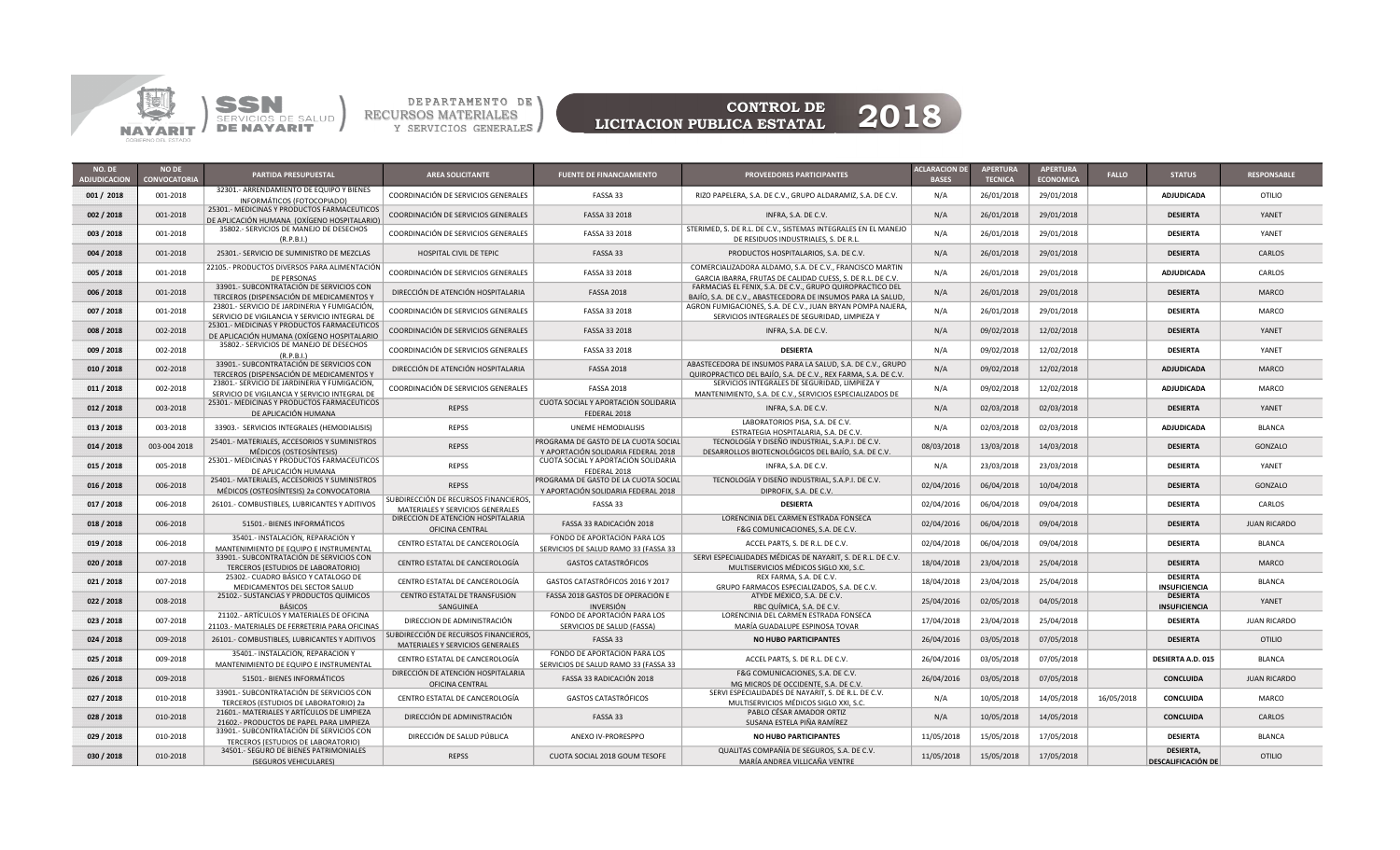



LICITACION PUBLICA ESTATAL

| NO. DE<br><b>DJUDICACION</b> | <b>NO DE</b><br><b>CONVOCATORIA</b> | <b>PARTIDA PRESUPUESTAL</b>                                                                   | <b>AREA SOLICITANTE</b>                                                   | <b>FUENTE DE FINANCIAMIENTO</b>                                             | <b>PROVEEDORES PARTICIPANTES</b>                                                                                             | <b>ACLARACION DE</b><br><b>BASES</b> | <b>APERTURA</b><br><b>TECNICA</b> | <b>APERTURA</b><br><b>ECONOMICA</b> | <b>FALLO</b> | <b>STATUS</b>                          | <b>RESPONSABLE</b>  |
|------------------------------|-------------------------------------|-----------------------------------------------------------------------------------------------|---------------------------------------------------------------------------|-----------------------------------------------------------------------------|------------------------------------------------------------------------------------------------------------------------------|--------------------------------------|-----------------------------------|-------------------------------------|--------------|----------------------------------------|---------------------|
| 001 / 2018                   | 001-2018                            | 32301.- ARRENDAMIENTO DE EQUIPO Y BIENES<br>INFORMÁTICOS (FOTOCOPIADO)                        | COORDINACIÓN DE SERVICIOS GENERALES                                       | FASSA 33                                                                    | RIZO PAPELERA, S.A. DE C.V., GRUPO ALDARAMIZ, S.A. DE C.V.                                                                   | N/A                                  | 26/01/2018                        | 29/01/2018                          |              | <b>ADJUDICADA</b>                      | <b>OTILIO</b>       |
| 002 / 2018                   | 001-2018                            | 25301.- MEDICINAS Y PRODUCTOS FARMACEUTICOS<br>DE APLICACIÓN HUMANA (OXÍGENO HOSPITALARIO)    | COORDINACIÓN DE SERVICIOS GENERALES                                       | FASSA 33 2018                                                               | INFRA, S.A. DE C.V.                                                                                                          | N/A                                  | 26/01/2018                        | 29/01/2018                          |              | <b>DESIERTA</b>                        | YANET               |
| 003 / 2018                   | 001-2018                            | 35802.- SERVICIOS DE MANEJO DE DESECHOS<br>(R.P.B.l.)                                         | COORDINACIÓN DE SERVICIOS GENERALES                                       | FASSA 33 2018                                                               | STERIMED, S. DE R.L. DE C.V., SISTEMAS INTEGRALES EN EL MANEJO<br>DE RESIDUOS INDUSTRIALES, S. DE R.L                        | N/A                                  | 26/01/2018                        | 29/01/2018                          |              | <b>DESIERTA</b>                        | YANET               |
| 004 / 2018                   | 001-2018                            | 25301.- SERVICIO DE SUMINISTRO DE MEZCLAS                                                     | HOSPITAL CIVIL DE TEPIC                                                   | FASSA 33                                                                    | PRODUCTOS HOSPITALARIOS, S.A. DE C.V.                                                                                        | N/A                                  | 26/01/2018                        | 29/01/2018                          |              | <b>DESIERTA</b>                        | CARLOS              |
| 005 / 2018                   | 001-2018                            | 22105.- PRODUCTOS DIVERSOS PARA ALIMENTACIÓN<br>DE PERSONAS                                   | COORDINACIÓN DE SERVICIOS GENERALES                                       | FASSA 33 2018                                                               | COMERCIALIZADORA ALDAMO, S.A. DE C.V., FRANCISCO MARTIN<br>GARCIA IBARRA, FRUTAS DE CALIDAD CUESS, S. DE R.L. DE C.V.        | N/A                                  | 26/01/2018                        | 29/01/2018                          |              | <b>ADJUDICADA</b>                      | CARLOS              |
| 006 / 2018                   | 001-2018                            | 33901.- SUBCONTRATACIÓN DE SERVICIOS CON<br>TERCEROS (DISPENSACIÓN DE MEDICAMENTOS Y          | DIRECCIÓN DE ATENCIÓN HOSPITALARIA                                        | <b>FASSA 2018</b>                                                           | FARMACIAS EL FENIX, S.A. DE C.V., GRUPO QUIROPRACTICO DEL<br>BAJÍO, S.A. DE C.V., ABASTECEDORA DE INSUMOS PARA LA SALUD,     | N/A                                  | 26/01/2018                        | 29/01/2018                          |              | <b>DESIERTA</b>                        | <b>MARCO</b>        |
| 007 / 2018                   | 001-2018                            | 23801.- SERVICIO DE JARDINERIA Y FUMIGACIÓN,<br>SERVICIO DE VIGILANCIA Y SERVICIO INTEGRAL DE | COORDINACIÓN DE SERVICIOS GENERALES                                       | FASSA 33 2018                                                               | AGRON FUMIGACIONES, S.A. DE C.V., JUAN BRYAN POMPA NAJERA,<br>SERVICIOS INTEGRALES DE SEGURIDAD, LIMPIEZA Y                  | N/A                                  | 26/01/2018                        | 29/01/2018                          |              | <b>DESIERTA</b>                        | MARCO               |
| 008 / 2018                   | 002-2018                            | 25301.- MEDICINAS Y PRODUCTOS FARMACEUTICOS<br>DE APLICACIÓN HUMANA (OXÍGENO HOSPITALARIO     | COORDINACIÓN DE SERVICIOS GENERALES                                       | FASSA 33 2018                                                               | INFRA, S.A. DE C.V.                                                                                                          | N/A                                  | 09/02/2018                        | 12/02/2018                          |              | <b>DESIERTA</b>                        | YANET               |
| 009 / 2018                   | 002-2018                            | 35802.- SERVICIOS DE MANEJO DE DESECHOS<br>(R.P.B.I.)                                         | COORDINACIÓN DE SERVICIOS GENERALES                                       | FASSA 33 2018                                                               | <b>DESIERTA</b>                                                                                                              | N/A                                  | 09/02/2018                        | 12/02/2018                          |              | <b>DESIERTA</b>                        | YANET               |
| 010 / 2018                   | 002-2018                            | 33901.- SUBCONTRATACIÓN DE SERVICIOS CON<br>TERCEROS (DISPENSACIÓN DE MEDICAMENTOS Y          | DIRECCIÓN DE ATENCIÓN HOSPITALARIA                                        | <b>FASSA 2018</b>                                                           | ABASTECEDORA DE INSUMOS PARA LA SALUD, S.A. DE C.V., GRUPO<br>QUIROPRACTICO DEL BAJÍO, S.A. DE C.V., REX FARMA, S.A. DE C.V. | N/A                                  | 09/02/2018                        | 12/02/2018                          |              | <b>ADJUDICADA</b>                      | <b>MARCO</b>        |
| 011 / 2018                   | 002-2018                            | 23801.- SERVICIO DE JARDINERIA Y FUMIGACIÓN,<br>SERVICIO DE VIGILANCIA Y SERVICIO INTEGRAL DE | COORDINACIÓN DE SERVICIOS GENERALES                                       | <b>FASSA 2018</b>                                                           | SERVICIOS INTEGRALES DE SEGURIDAD, LIMPIEZA Y<br>MANTENIMIENTO, S.A. DE C.V., SERVICIOS ESPECIALIZADOS DE                    | N/A                                  | 09/02/2018                        | 12/02/2018                          |              | ADJUDICADA                             | MARCO               |
| 012 / 2018                   | 003-2018                            | 25301.- MEDICINAS Y PRODUCTOS FARMACEUTICOS<br>DE APLICACIÓN HUMANA                           | <b>REPSS</b>                                                              | CUOTA SOCIAL Y APORTACIÓN SOLIDARIA<br>FEDERAL 2018                         | INFRA, S.A. DE C.V.                                                                                                          | N/A                                  | 02/03/2018                        | 02/03/2018                          |              | <b>DESIERTA</b>                        | YANET               |
| 013 / 2018                   | 003-2018                            | 33903.- SERVICIOS INTEGRALES (HEMODIALISIS)                                                   | <b>REPSS</b>                                                              | <b>UNEME HEMODIALISIS</b>                                                   | LABORATORIOS PISA, S.A. DE C.V.<br>ESTRATEGIA HOSPITALARIA, S.A. DE C.V.                                                     | N/A                                  | 02/03/2018                        | 02/03/2018                          |              | ADJUDICADA                             | <b>BLANCA</b>       |
| 014 / 2018                   | 003-004 2018                        | 25401.- MATERIALES, ACCESORIOS Y SUMINISTROS<br>MÉDICOS (OSTEOSÍNTESIS)                       | <b>REPSS</b>                                                              | PROGRAMA DE GASTO DE LA CUOTA SOCIAL<br>Y APORTACIÓN SOLIDARIA FEDERAL 2018 | TECNOLOGÍA Y DISEÑO INDUSTRIAL, S.A.P.I. DE C.V.<br>DESARROLLOS BIOTECNOLÓGICOS DEL BAJÍO, S.A. DE C.V                       | 08/03/2018                           | 13/03/2018                        | 14/03/2018                          |              | <b>DESIERTA</b>                        | GONZALO             |
| 015 / 2018                   | 005-2018                            | 25301.- MEDICINAS Y PRODUCTOS FARMACEUTICOS<br>DE APLICACIÓN HUMANA                           | <b>REPSS</b>                                                              | CUOTA SOCIAL Y APORTACIÓN SOLIDARIA<br>FEDERAL 2018                         | INFRA, S.A. DE C.V.                                                                                                          | N/A                                  | 23/03/2018                        | 23/03/2018                          |              | <b>DESIERTA</b>                        | YANET               |
| 016 / 2018                   | 006-2018                            | 25401.- MATERIALES, ACCESORIOS Y SUMINISTROS<br>MÉDICOS (OSTEOSÍNTESIS) 2a CONVOCATORIA       | <b>REPSS</b>                                                              | PROGRAMA DE GASTO DE LA CUOTA SOCIAL<br>Y APORTACIÓN SOLIDARIA FEDERAL 2018 | TECNOLOGÍA Y DISEÑO INDUSTRIAL, S.A.P.I. DE C.V.<br>DIPROFIX, S.A. DE C.V.                                                   | 02/04/2016                           | 06/04/2018                        | 10/04/2018                          |              | <b>DESIERTA</b>                        | GONZALO             |
| 017 / 2018                   | 006-2018                            | 26101.- COMBUSTIBLES, LUBRICANTES Y ADITIVOS                                                  | SUBDIRECCIÓN DE RECURSOS FINANCIEROS,<br>MATERIALES Y SERVICIOS GENERALES | FASSA 33                                                                    | <b>DESIERTA</b>                                                                                                              | 02/04/2016                           | 06/04/2018                        | 09/04/2018                          |              | <b>DESIERTA</b>                        | CARLOS              |
| 018 / 2018                   | 006-2018                            | 51501.- BIENES INFORMÁTICOS                                                                   | DIRECCIÓN DE ATENCIÓN HOSPITALARIA<br>OFICINA CENTRAL                     | FASSA 33 RADICACIÓN 2018                                                    | LORENCINIA DEL CARMEN ESTRADA FONSECA<br>F&G COMUNICACIONES, S.A. DE C.V.                                                    | 02/04/2016                           | 06/04/2018                        | 09/04/2018                          |              | <b>DESIERTA</b>                        | <b>JUAN RICARDO</b> |
| 019 / 2018                   | 006-2018                            | 35401.- INSTALACIÓN, REPARACIÓN Y<br>MANTENIMIENTO DE EQUIPO E INSTRUMENTAL                   | CENTRO ESTATAL DE CANCEROLOGÍA                                            | FONDO DE APORTACIÓN PARA LOS<br>SERVICIOS DE SALUD RAMO 33 (FASSA 33        | ACCEL PARTS, S. DE R.L. DE C.V.                                                                                              | 02/04/2018                           | 06/04/2018                        | 09/04/2018                          |              | <b>DESIERTA</b>                        | <b>BLANCA</b>       |
| 020 / 2018                   | 007-2018                            | 33901.- SUBCONTRATACIÓN DE SERVICIOS CON<br>TERCEROS (ESTUDIOS DE LABORATORIO)                | CENTRO ESTATAL DE CANCEROLOGÍA                                            | <b>GASTOS CATASTRÓFICOS</b>                                                 | SERVI ESPECIALIDADES MÉDICAS DE NAYARIT, S. DE R.L. DE C.V.<br>MULTISERVICIOS MÉDICOS SIGLO XXI, S.C.                        | 18/04/2018                           | 23/04/2018                        | 25/04/2018                          |              | <b>DESIERTA</b>                        | <b>MARCO</b>        |
| 021 / 2018                   | 007-2018                            | 25302.- CUADRO BÁSICO Y CATALOGO DE<br>MEDICAMENTOS DEL SECTOR SALUD                          | CENTRO ESTATAL DE CANCEROLOGÍA                                            | GASTOS CATASTRÓFICOS 2016 Y 2017                                            | REX FARMA, S.A. DE C.V.<br>GRUPO FARMACOS ESPECIALIZADOS, S.A. DE C.V.                                                       | 18/04/2018                           | 23/04/2018                        | 25/04/2018                          |              | <b>DESIERTA</b><br>INSUFICIENCIA       | <b>BLANCA</b>       |
| 022 / 2018                   | 008-2018                            | 25102.- SUSTANCIAS Y PRODUCTOS QUÍMICOS<br><b>BÁSICOS</b>                                     | CENTRO ESTATAL DE TRANSFUSIÓN<br>SANGUINEA                                | FASSA 2018 GASTOS DE OPERACIÓN E<br><b>INVERSIÓN</b>                        | ATYDE MÉXICO, S.A. DE C.V.<br>RBC QUÍMICA, S.A. DE C.V.                                                                      | 25/04/2016                           | 02/05/2018                        | 04/05/2018                          |              | <b>DESIERTA</b><br>INSUFICIENCIA       | YANET               |
| 023 / 2018                   | 007-2018                            | 21102.- ARTÍCULOS Y MATERIALES DE OFICINA<br>21103.- MATERIALES DE FERRETERIA PARA OFICINAS   | DIRECCION DE ADMINISTRACIÓN                                               | FONDO DE APORTACIÓN PARA LOS<br>SERVICIOS DE SALUD (FASSA)                  | LORENCINIA DEL CARMEN ESTRADA FONSECA<br>MARÍA GUADALUPE ESPINOSA TOVAR                                                      | 17/04/2018                           | 23/04/2018                        | 25/04/2018                          |              | <b>DESIERTA</b>                        | <b>JUAN RICARDO</b> |
| 024 / 2018                   | 009-2018                            | 26101.- COMBUSTIBLES, LUBRICANTES Y ADITIVOS                                                  | SUBDIRECCIÓN DE RECURSOS FINANCIEROS,<br>MATERIALES Y SERVICIOS GENERALES | FASSA 33                                                                    | <b>NO HUBO PARTICIPANTES</b>                                                                                                 | 26/04/2016                           | 03/05/2018                        | 07/05/2018                          |              | <b>DESIERTA</b>                        | <b>OTILIO</b>       |
| 025 / 2018                   | 009-2018                            | 35401.- INSTALACIÓN, REPARACIÓN Y<br>MANTENIMIENTO DE EQUIPO E INSTRUMENTAL                   | CENTRO ESTATAL DE CANCEROLOGÍA                                            | FONDO DE APORTACIÓN PARA LOS<br>SERVICIOS DE SALUD RAMO 33 (FASSA 33        | ACCEL PARTS, S. DE R.L. DE C.V.                                                                                              | 26/04/2016                           | 03/05/2018                        | 07/05/2018                          |              | <b>DESIERTA A.D. 015</b>               | <b>BLANCA</b>       |
| 026 / 2018                   | 009-2018                            | 51501.- BIENES INFORMATICOS                                                                   | DIRECCIÓN DE ATENCIÓN HOSPITALARIA<br>OFICINA CENTRAL                     | FASSA 33 RADICACIÓN 2018                                                    | F&G COMUNICACIONES, S.A. DE C.V.<br>MG MICROS DE OCCIDENTE, S.A. DE C.V.                                                     | 26/04/2016                           | 03/05/2018                        | 07/05/2018                          |              | <b>CONCLUIDA</b>                       | JUAN RICARDO        |
| 027 / 2018                   | 010-2018                            | 33901.- SUBCONTRATACIÓN DE SERVICIOS CON<br>TERCEROS (ESTUDIOS DE LABORATORIO) 2a             | CENTRO ESTATAL DE CANCEROLOGÍA                                            | <b>GASTOS CATASTRÓFICOS</b>                                                 | SERVI ESPECIALIDADES DE NAYARIT, S. DE R.L. DE C.V.<br>MULTISERVICIOS MÉDICOS SIGLO XXI, S.C.                                | N/A                                  | 10/05/2018                        | 14/05/2018                          | 16/05/2018   | <b>CONCLUIDA</b>                       | MARCO               |
| 028 / 2018                   | 010-2018                            | 21601.- MATERIALES Y ARTÍCULOS DE LIMPIEZA<br>21602.- PRODUCTOS DE PAPEL PARA LIMPIEZA        | DIRECCIÓN DE ADMINISTRACIÓN                                               | FASSA 33                                                                    | PABLO CÉSAR AMADOR ORTIZ<br>SUSANA ESTELA PIÑA RAMÍREZ                                                                       | N/A                                  | 10/05/2018                        | 14/05/2018                          |              | <b>CONCLUIDA</b>                       | CARLOS              |
| 029 / 2018                   | 010-2018                            | 33901.- SUBCONTRATACIÓN DE SERVICIOS CON<br>TERCEROS (ESTUDIOS DE LABORATORIO)                | DIRECCIÓN DE SALUD PÚBLICA                                                | ANEXO IV-PRORESPPO                                                          | <b>NO HUBO PARTICIPANTES</b>                                                                                                 | 11/05/2018                           | 15/05/2018                        | 17/05/2018                          |              | <b>DESIERTA</b>                        | <b>BLANCA</b>       |
| 030 / 2018                   | 010-2018                            | 34501.- SEGURO DE BIENES PATRIMONIALES<br>(SEGUROS VEHICULARES)                               | <b>REPSS</b>                                                              | CUOTA SOCIAL 2018 GOUM TESOFE                                               | QUALITAS COMPAÑÍA DE SEGUROS, S.A. DE C.V.<br>MARÍA ANDREA VILLICAÑA VENTRE                                                  | 11/05/2018                           | 15/05/2018                        | 17/05/2018                          |              | DESIERTA,<br><b>DESCALIFICACIÓN DE</b> | <b>OTILIO</b>       |